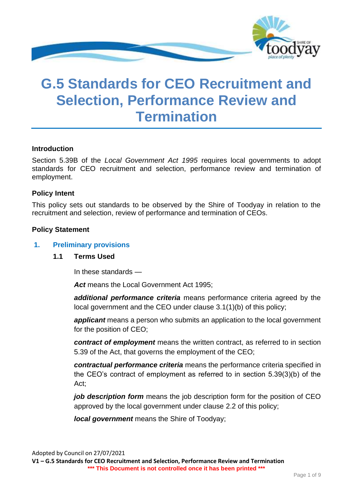

# **G.5 Standards for CEO Recruitment and Selection, Performance Review and Termination**

#### **Introduction**

Section 5.39B of the *Local Government Act 1995* requires local governments to adopt standards for CEO recruitment and selection, performance review and termination of employment.

#### **Policy Intent**

This policy sets out standards to be observed by the Shire of Toodyay in relation to the recruitment and selection, review of performance and termination of CEOs.

#### **Policy Statement**

#### **1. Preliminary provisions**

#### **1.1 Terms Used**

In these standards —

Act means the Local Government Act 1995;

*additional performance criteria* means performance criteria agreed by the local government and the CEO under clause 3.1(1)(b) of this policy;

*applicant* means a person who submits an application to the local government for the position of CEO;

*contract of employment* means the written contract, as referred to in section 5.39 of the Act, that governs the employment of the CEO;

*contractual performance criteria* means the performance criteria specified in the CEO's contract of employment as referred to in section 5.39(3)(b) of the Act;

*job description form* means the job description form for the position of CEO approved by the local government under clause 2.2 of this policy;

*local government* means the Shire of Toodyay;

Adopted by Council on 27/07/2021 **V1 – G.5 Standards for CEO Recruitment and Selection, Performance Review and Termination \*\*\* This Document is not controlled once it has been printed \*\*\***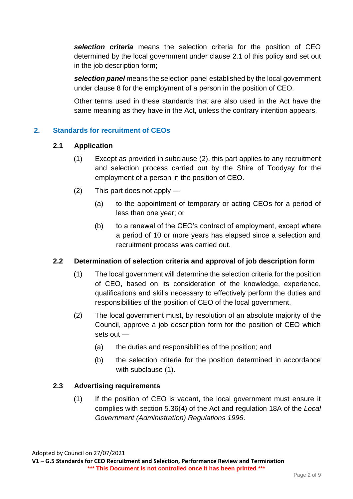*selection criteria* means the selection criteria for the position of CEO determined by the local government under clause 2.1 of this policy and set out in the job description form;

*selection panel* means the selection panel established by the local government under clause 8 for the employment of a person in the position of CEO.

Other terms used in these standards that are also used in the Act have the same meaning as they have in the Act, unless the contrary intention appears.

# **2. Standards for recruitment of CEOs**

## **2.1 Application**

- (1) Except as provided in subclause (2), this part applies to any recruitment and selection process carried out by the Shire of Toodyay for the employment of a person in the position of CEO.
- (2) This part does not apply
	- (a) to the appointment of temporary or acting CEOs for a period of less than one year; or
	- (b) to a renewal of the CEO's contract of employment, except where a period of 10 or more years has elapsed since a selection and recruitment process was carried out.

## **2.2 Determination of selection criteria and approval of job description form**

- (1) The local government will determine the selection criteria for the position of CEO, based on its consideration of the knowledge, experience, qualifications and skills necessary to effectively perform the duties and responsibilities of the position of CEO of the local government.
- (2) The local government must, by resolution of an absolute majority of the Council, approve a job description form for the position of CEO which sets out —
	- (a) the duties and responsibilities of the position; and
	- (b) the selection criteria for the position determined in accordance with subclause (1).

## **2.3 Advertising requirements**

(1) If the position of CEO is vacant, the local government must ensure it complies with section 5.36(4) of the Act and regulation 18A of the *Local Government (Administration) Regulations 1996*.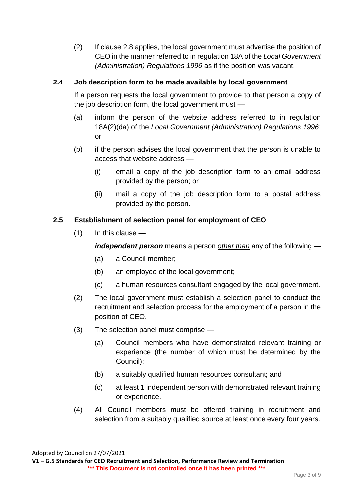(2) If clause 2.8 applies, the local government must advertise the position of CEO in the manner referred to in regulation 18A of the *Local Government (Administration) Regulations 1996* as if the position was vacant.

## **2.4 Job description form to be made available by local government**

If a person requests the local government to provide to that person a copy of the job description form, the local government must —

- (a) inform the person of the website address referred to in regulation 18A(2)(da) of the *Local Government (Administration) Regulations 1996*; or
- (b) if the person advises the local government that the person is unable to access that website address —
	- (i) email a copy of the job description form to an email address provided by the person; or
	- (ii) mail a copy of the job description form to a postal address provided by the person.

# **2.5 Establishment of selection panel for employment of CEO**

 $(1)$  In this clause —

*independent person* means a person *other than* any of the following —

- (a) a Council member;
- (b) an employee of the local government;
- (c) a human resources consultant engaged by the local government.
- (2) The local government must establish a selection panel to conduct the recruitment and selection process for the employment of a person in the position of CEO.
- (3) The selection panel must comprise
	- (a) Council members who have demonstrated relevant training or experience (the number of which must be determined by the Council);
	- (b) a suitably qualified human resources consultant; and
	- (c) at least 1 independent person with demonstrated relevant training or experience.
- (4) All Council members must be offered training in recruitment and selection from a suitably qualified source at least once every four years.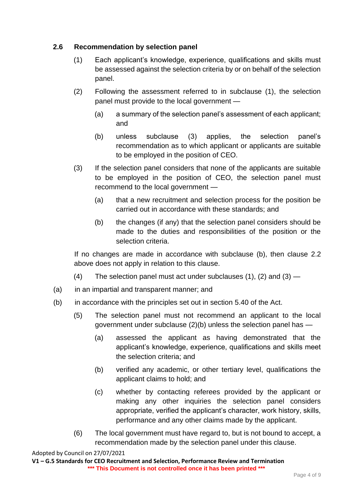# **2.6 Recommendation by selection panel**

- (1) Each applicant's knowledge, experience, qualifications and skills must be assessed against the selection criteria by or on behalf of the selection panel.
- (2) Following the assessment referred to in subclause (1), the selection panel must provide to the local government —
	- (a) a summary of the selection panel's assessment of each applicant; and
	- (b) unless subclause (3) applies, the selection panel's recommendation as to which applicant or applicants are suitable to be employed in the position of CEO.
- (3) If the selection panel considers that none of the applicants are suitable to be employed in the position of CEO, the selection panel must recommend to the local government —
	- (a) that a new recruitment and selection process for the position be carried out in accordance with these standards; and
	- (b) the changes (if any) that the selection panel considers should be made to the duties and responsibilities of the position or the selection criteria.

If no changes are made in accordance with subclause (b), then clause 2.2 above does not apply in relation to this clause.

- (4) The selection panel must act under subclauses  $(1)$ ,  $(2)$  and  $(3)$  —
- (a) in an impartial and transparent manner; and
- (b) in accordance with the principles set out in section 5.40 of the Act.
	- (5) The selection panel must not recommend an applicant to the local government under subclause (2)(b) unless the selection panel has —
		- (a) assessed the applicant as having demonstrated that the applicant's knowledge, experience, qualifications and skills meet the selection criteria; and
		- (b) verified any academic, or other tertiary level, qualifications the applicant claims to hold; and
		- (c) whether by contacting referees provided by the applicant or making any other inquiries the selection panel considers appropriate, verified the applicant's character, work history, skills, performance and any other claims made by the applicant.
	- (6) The local government must have regard to, but is not bound to accept, a recommendation made by the selection panel under this clause.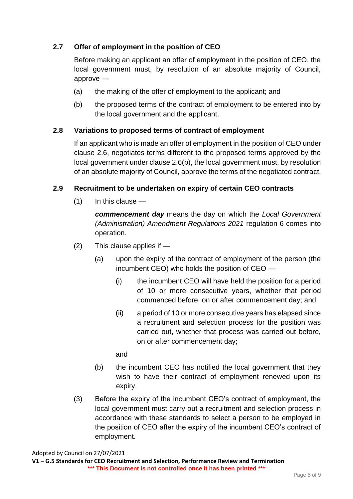# **2.7 Offer of employment in the position of CEO**

Before making an applicant an offer of employment in the position of CEO, the local government must, by resolution of an absolute majority of Council, approve —

- (a) the making of the offer of employment to the applicant; and
- (b) the proposed terms of the contract of employment to be entered into by the local government and the applicant.

## **2.8 Variations to proposed terms of contract of employment**

If an applicant who is made an offer of employment in the position of CEO under clause 2.6, negotiates terms different to the proposed terms approved by the local government under clause 2.6(b), the local government must, by resolution of an absolute majority of Council, approve the terms of the negotiated contract.

#### **2.9 Recruitment to be undertaken on expiry of certain CEO contracts**

(1) In this clause —

*commencement day* means the day on which the *Local Government (Administration) Amendment Regulations 2021* regulation 6 comes into operation.

- (2) This clause applies if
	- (a) upon the expiry of the contract of employment of the person (the incumbent CEO) who holds the position of CEO —
		- (i) the incumbent CEO will have held the position for a period of 10 or more consecutive years, whether that period commenced before, on or after commencement day; and
		- (ii) a period of 10 or more consecutive years has elapsed since a recruitment and selection process for the position was carried out, whether that process was carried out before, on or after commencement day;

and

- (b) the incumbent CEO has notified the local government that they wish to have their contract of employment renewed upon its expiry.
- (3) Before the expiry of the incumbent CEO's contract of employment, the local government must carry out a recruitment and selection process in accordance with these standards to select a person to be employed in the position of CEO after the expiry of the incumbent CEO's contract of employment.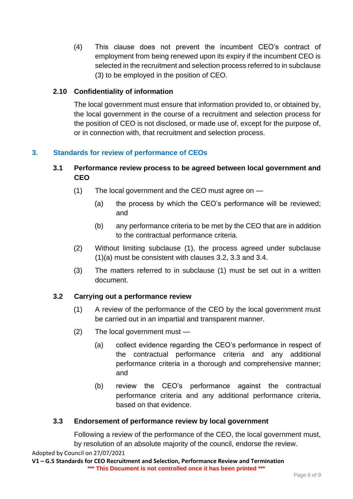(4) This clause does not prevent the incumbent CEO's contract of employment from being renewed upon its expiry if the incumbent CEO is selected in the recruitment and selection process referred to in subclause (3) to be employed in the position of CEO.

# **2.10 Confidentiality of information**

The local government must ensure that information provided to, or obtained by, the local government in the course of a recruitment and selection process for the position of CEO is not disclosed, or made use of, except for the purpose of, or in connection with, that recruitment and selection process.

# **3. Standards for review of performance of CEOs**

## **3.1 Performance review process to be agreed between local government and CEO**

- (1) The local government and the CEO must agree on
	- (a) the process by which the CEO's performance will be reviewed; and
	- (b) any performance criteria to be met by the CEO that are in addition to the contractual performance criteria.
- (2) Without limiting subclause (1), the process agreed under subclause (1)(a) must be consistent with clauses 3.2, 3.3 and 3.4.
- (3) The matters referred to in subclause (1) must be set out in a written document.

## **3.2 Carrying out a performance review**

- (1) A review of the performance of the CEO by the local government must be carried out in an impartial and transparent manner.
- (2) The local government must
	- (a) collect evidence regarding the CEO's performance in respect of the contractual performance criteria and any additional performance criteria in a thorough and comprehensive manner; and
	- (b) review the CEO's performance against the contractual performance criteria and any additional performance criteria, based on that evidence.

## **3.3 Endorsement of performance review by local government**

Following a review of the performance of the CEO, the local government must, by resolution of an absolute majority of the council, endorse the review.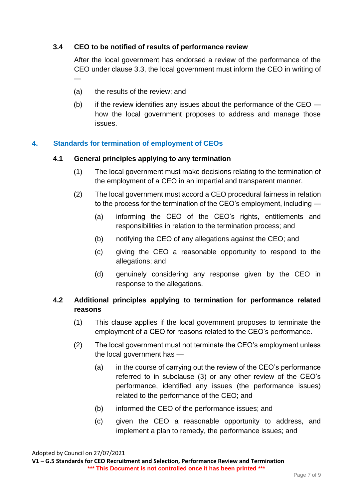## **3.4 CEO to be notified of results of performance review**

After the local government has endorsed a review of the performance of the CEO under clause 3.3, the local government must inform the CEO in writing of —

- (a) the results of the review; and
- (b) if the review identifies any issues about the performance of the CEO  $$ how the local government proposes to address and manage those issues.

#### **4. Standards for termination of employment of CEOs**

#### **4.1 General principles applying to any termination**

- (1) The local government must make decisions relating to the termination of the employment of a CEO in an impartial and transparent manner.
- (2) The local government must accord a CEO procedural fairness in relation to the process for the termination of the CEO's employment, including —
	- (a) informing the CEO of the CEO's rights, entitlements and responsibilities in relation to the termination process; and
	- (b) notifying the CEO of any allegations against the CEO; and
	- (c) giving the CEO a reasonable opportunity to respond to the allegations; and
	- (d) genuinely considering any response given by the CEO in response to the allegations.

## **4.2 Additional principles applying to termination for performance related reasons**

- (1) This clause applies if the local government proposes to terminate the employment of a CEO for reasons related to the CEO's performance.
- (2) The local government must not terminate the CEO's employment unless the local government has —
	- (a) in the course of carrying out the review of the CEO's performance referred to in subclause (3) or any other review of the CEO's performance, identified any issues (the performance issues) related to the performance of the CEO; and
	- (b) informed the CEO of the performance issues; and
	- (c) given the CEO a reasonable opportunity to address, and implement a plan to remedy, the performance issues; and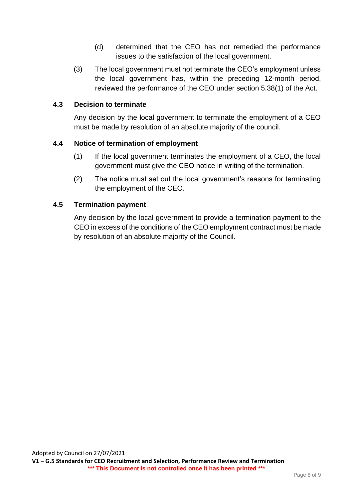- (d) determined that the CEO has not remedied the performance issues to the satisfaction of the local government.
- (3) The local government must not terminate the CEO's employment unless the local government has, within the preceding 12-month period, reviewed the performance of the CEO under section 5.38(1) of the Act.

#### **4.3 Decision to terminate**

Any decision by the local government to terminate the employment of a CEO must be made by resolution of an absolute majority of the council.

#### **4.4 Notice of termination of employment**

- (1) If the local government terminates the employment of a CEO, the local government must give the CEO notice in writing of the termination.
- (2) The notice must set out the local government's reasons for terminating the employment of the CEO.

## **4.5 Termination payment**

Any decision by the local government to provide a termination payment to the CEO in excess of the conditions of the CEO employment contract must be made by resolution of an absolute majority of the Council.